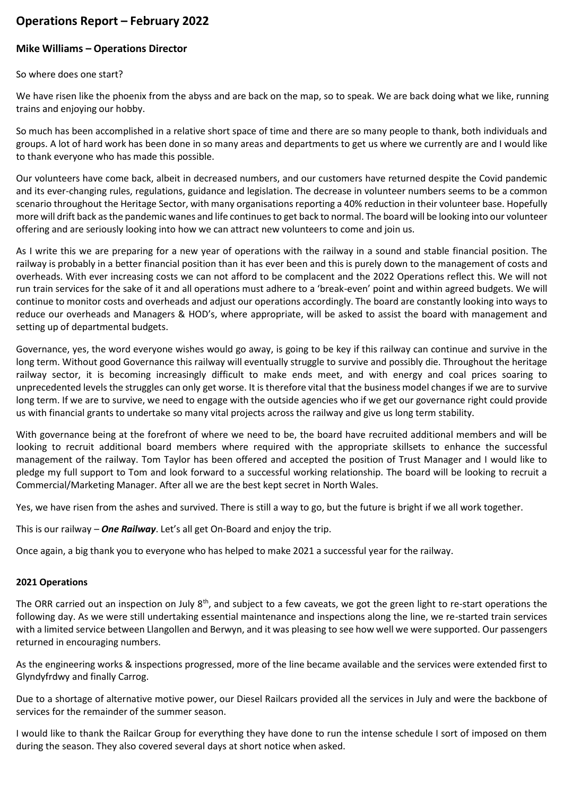# **Operations Report – February 2022**

## **Mike Williams – Operations Director**

So where does one start?

We have risen like the phoenix from the abyss and are back on the map, so to speak. We are back doing what we like, running trains and enjoying our hobby.

So much has been accomplished in a relative short space of time and there are so many people to thank, both individuals and groups. A lot of hard work has been done in so many areas and departments to get us where we currently are and I would like to thank everyone who has made this possible.

Our volunteers have come back, albeit in decreased numbers, and our customers have returned despite the Covid pandemic and its ever-changing rules, regulations, guidance and legislation. The decrease in volunteer numbers seems to be a common scenario throughout the Heritage Sector, with many organisations reporting a 40% reduction in their volunteer base. Hopefully more will drift back as the pandemic wanes and life continues to get back to normal. The board will be looking into our volunteer offering and are seriously looking into how we can attract new volunteers to come and join us.

As I write this we are preparing for a new year of operations with the railway in a sound and stable financial position. The railway is probably in a better financial position than it has ever been and this is purely down to the management of costs and overheads. With ever increasing costs we can not afford to be complacent and the 2022 Operations reflect this. We will not run train services for the sake of it and all operations must adhere to a 'break-even' point and within agreed budgets. We will continue to monitor costs and overheads and adjust our operations accordingly. The board are constantly looking into ways to reduce our overheads and Managers & HOD's, where appropriate, will be asked to assist the board with management and setting up of departmental budgets.

Governance, yes, the word everyone wishes would go away, is going to be key if this railway can continue and survive in the long term. Without good Governance this railway will eventually struggle to survive and possibly die. Throughout the heritage railway sector, it is becoming increasingly difficult to make ends meet, and with energy and coal prices soaring to unprecedented levels the struggles can only get worse. It is therefore vital that the business model changes if we are to survive long term. If we are to survive, we need to engage with the outside agencies who if we get our governance right could provide us with financial grants to undertake so many vital projects across the railway and give us long term stability.

With governance being at the forefront of where we need to be, the board have recruited additional members and will be looking to recruit additional board members where required with the appropriate skillsets to enhance the successful management of the railway. Tom Taylor has been offered and accepted the position of Trust Manager and I would like to pledge my full support to Tom and look forward to a successful working relationship. The board will be looking to recruit a Commercial/Marketing Manager. After all we are the best kept secret in North Wales.

Yes, we have risen from the ashes and survived. There is still a way to go, but the future is bright if we all work together.

This is our railway – *One Railway*. Let's all get On-Board and enjoy the trip.

Once again, a big thank you to everyone who has helped to make 2021 a successful year for the railway.

### **2021 Operations**

The ORR carried out an inspection on July 8<sup>th</sup>, and subject to a few caveats, we got the green light to re-start operations the following day. As we were still undertaking essential maintenance and inspections along the line, we re-started train services with a limited service between Llangollen and Berwyn, and it was pleasing to see how well we were supported. Our passengers returned in encouraging numbers.

As the engineering works & inspections progressed, more of the line became available and the services were extended first to Glyndyfrdwy and finally Carrog.

Due to a shortage of alternative motive power, our Diesel Railcars provided all the services in July and were the backbone of services for the remainder of the summer season.

I would like to thank the Railcar Group for everything they have done to run the intense schedule I sort of imposed on them during the season. They also covered several days at short notice when asked.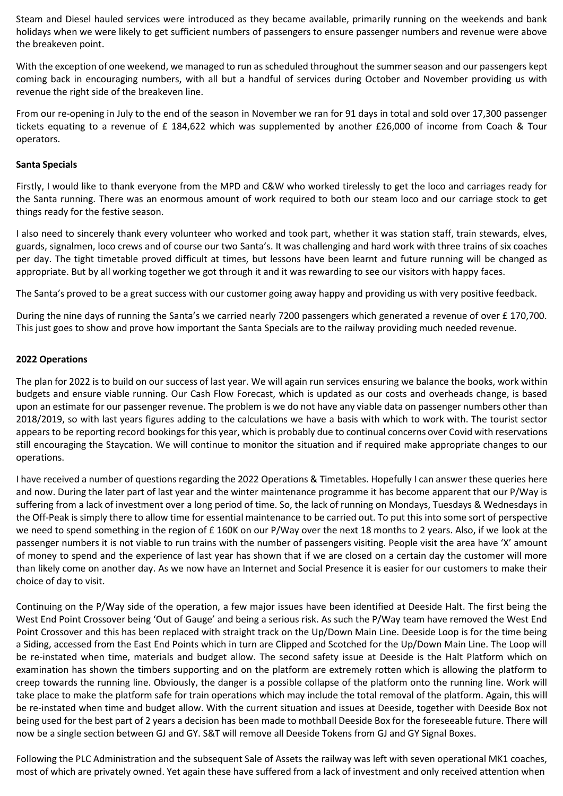Steam and Diesel hauled services were introduced as they became available, primarily running on the weekends and bank holidays when we were likely to get sufficient numbers of passengers to ensure passenger numbers and revenue were above the breakeven point.

With the exception of one weekend, we managed to run as scheduled throughout the summer season and our passengers kept coming back in encouraging numbers, with all but a handful of services during October and November providing us with revenue the right side of the breakeven line.

From our re-opening in July to the end of the season in November we ran for 91 days in total and sold over 17,300 passenger tickets equating to a revenue of £ 184,622 which was supplemented by another £26,000 of income from Coach & Tour operators.

#### **Santa Specials**

Firstly, I would like to thank everyone from the MPD and C&W who worked tirelessly to get the loco and carriages ready for the Santa running. There was an enormous amount of work required to both our steam loco and our carriage stock to get things ready for the festive season.

I also need to sincerely thank every volunteer who worked and took part, whether it was station staff, train stewards, elves, guards, signalmen, loco crews and of course our two Santa's. It was challenging and hard work with three trains of six coaches per day. The tight timetable proved difficult at times, but lessons have been learnt and future running will be changed as appropriate. But by all working together we got through it and it was rewarding to see our visitors with happy faces.

The Santa's proved to be a great success with our customer going away happy and providing us with very positive feedback.

During the nine days of running the Santa's we carried nearly 7200 passengers which generated a revenue of over £ 170,700. This just goes to show and prove how important the Santa Specials are to the railway providing much needed revenue.

#### **2022 Operations**

The plan for 2022 is to build on our success of last year. We will again run services ensuring we balance the books, work within budgets and ensure viable running. Our Cash Flow Forecast, which is updated as our costs and overheads change, is based upon an estimate for our passenger revenue. The problem is we do not have any viable data on passenger numbers other than 2018/2019, so with last years figures adding to the calculations we have a basis with which to work with. The tourist sector appears to be reporting record bookings for this year, which is probably due to continual concerns over Covid with reservations still encouraging the Staycation. We will continue to monitor the situation and if required make appropriate changes to our operations.

I have received a number of questions regarding the 2022 Operations & Timetables. Hopefully I can answer these queries here and now. During the later part of last year and the winter maintenance programme it has become apparent that our P/Way is suffering from a lack of investment over a long period of time. So, the lack of running on Mondays, Tuesdays & Wednesdays in the Off-Peak is simply there to allow time for essential maintenance to be carried out. To put this into some sort of perspective we need to spend something in the region of £160K on our P/Way over the next 18 months to 2 years. Also, if we look at the passenger numbers it is not viable to run trains with the number of passengers visiting. People visit the area have 'X' amount of money to spend and the experience of last year has shown that if we are closed on a certain day the customer will more than likely come on another day. As we now have an Internet and Social Presence it is easier for our customers to make their choice of day to visit.

Continuing on the P/Way side of the operation, a few major issues have been identified at Deeside Halt. The first being the West End Point Crossover being 'Out of Gauge' and being a serious risk. As such the P/Way team have removed the West End Point Crossover and this has been replaced with straight track on the Up/Down Main Line. Deeside Loop is for the time being a Siding, accessed from the East End Points which in turn are Clipped and Scotched for the Up/Down Main Line. The Loop will be re-instated when time, materials and budget allow. The second safety issue at Deeside is the Halt Platform which on examination has shown the timbers supporting and on the platform are extremely rotten which is allowing the platform to creep towards the running line. Obviously, the danger is a possible collapse of the platform onto the running line. Work will take place to make the platform safe for train operations which may include the total removal of the platform. Again, this will be re-instated when time and budget allow. With the current situation and issues at Deeside, together with Deeside Box not being used for the best part of 2 years a decision has been made to mothball Deeside Box for the foreseeable future. There will now be a single section between GJ and GY. S&T will remove all Deeside Tokens from GJ and GY Signal Boxes.

Following the PLC Administration and the subsequent Sale of Assets the railway was left with seven operational MK1 coaches, most of which are privately owned. Yet again these have suffered from a lack of investment and only received attention when